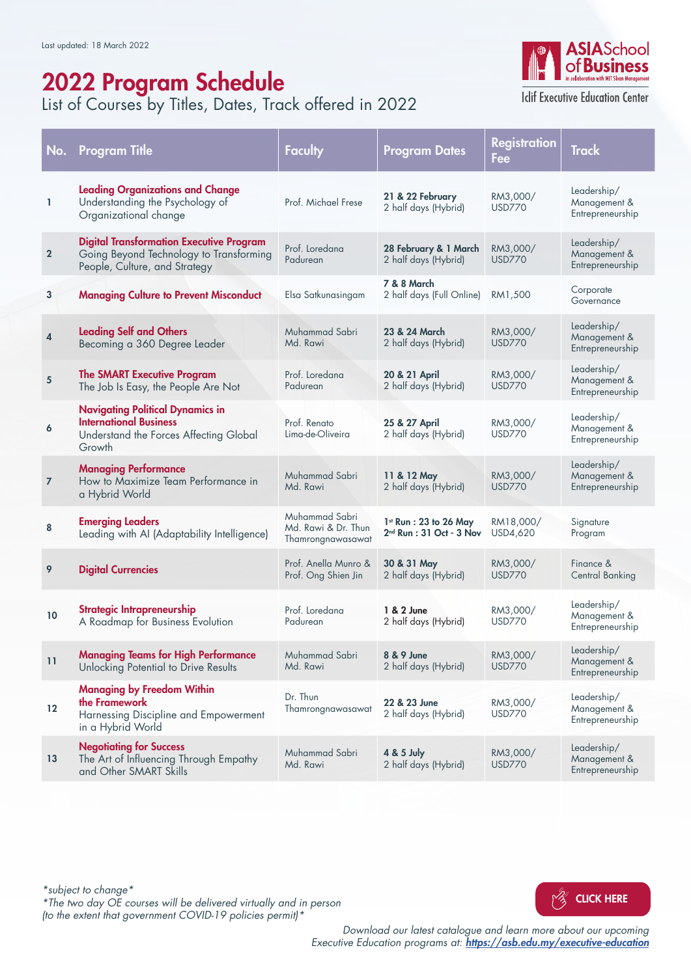## 2022 Program Schedule

List of Courses by Titles, Dates, Track offered in 2022



**Iclif Executive Education Center** 

| No.                     | <b>Program Title</b>                                                                                                         | Faculty                                                    | <b>Program Dates</b>                                   | <b>Registration</b><br>Fee | <b>Track</b>                                    |
|-------------------------|------------------------------------------------------------------------------------------------------------------------------|------------------------------------------------------------|--------------------------------------------------------|----------------------------|-------------------------------------------------|
| L                       | <b>Leading Organizations and Change</b><br>Understanding the Psychology of<br>Organizational change                          | Prof. Michael Frese                                        | 21 & 22 February<br>2 half days (Hybrid)               | RM3,000/<br><b>USD770</b>  | Leadership/<br>Management &<br>Entrepreneurship |
| $\overline{2}$          | <b>Digital Transformation Executive Program</b><br>Going Beyond Technology to Transforming<br>People, Culture, and Strategy  | Prof. Loredana<br>Padurean                                 | 28 February & 1 March<br>2 half days (Hybrid)          | RM3,000/<br><b>USD770</b>  | Leadership/<br>Management &<br>Entrepreneurship |
| 3                       | <b>Managing Culture to Prevent Misconduct</b>                                                                                | Elsa Satkunasingam                                         | <b>7 &amp; 8 March</b><br>2 half days (Full Online)    | RM1.500                    | Corporate<br>Governance                         |
| $\overline{\mathbf{4}}$ | <b>Leading Self and Others</b><br>Becoming a 360 Degree Leader                                                               | Muhammad Sabri<br>Md. Rawi                                 | 23 & 24 March<br>2 half days (Hybrid)                  | RM3,000/<br><b>USD770</b>  | Leadership/<br>Management &<br>Entrepreneurship |
| 5                       | <b>The SMART Executive Program</b><br>The Job Is Easy, the People Are Not                                                    | Prof. Loredana<br>Padurean                                 | 20 & 21 April<br>2 half days (Hybrid)                  | RM3,000/<br><b>USD770</b>  | Leadership/<br>Management &<br>Entrepreneurship |
| 6                       | <b>Navigating Political Dynamics in</b><br><b>International Business</b><br>Understand the Forces Affecting Global<br>Growth | Prof. Renato<br>Lima-de-Oliveira                           | 25 & 27 April<br>2 half days (Hybrid)                  | RM3,000/<br><b>USD770</b>  | Leadership/<br>Management &<br>Entrepreneurship |
| $\overline{7}$          | <b>Managing Performance</b><br>How to Maximize Team Performance in<br>a Hybrid World                                         | Muhammad Sabri<br>Md. Rawi                                 | 11 & 12 May<br>2 half days (Hybrid)                    | RM3,000/<br><b>USD770</b>  | Leadership/<br>Management &<br>Entrepreneurship |
| 8                       | <b>Emerging Leaders</b><br>Leading with AI (Adaptability Intelligence)                                                       | Muhammad Sabri<br>Md. Rawi & Dr. Thun<br>Thamrongnawasawat | $1st$ Run : 23 to 26 May<br>$2nd$ Run : 31 Oct - 3 Nov | RM18,000/<br>USD4,620      | Signature<br>Program                            |
| 9                       | <b>Digital Currencies</b>                                                                                                    | Prof. Anella Munro &<br>Prof. Ong Shien Jin                | 30 & 31 May<br>2 half days (Hybrid)                    | RM3,000/<br><b>USD770</b>  | Finance &<br><b>Central Banking</b>             |
| 10                      | Strategic Intrapreneurship<br>A Roadmap for Business Evolution                                                               | Prof. Loredana<br>Padurean                                 | 1 & 2 June<br>2 half days (Hybrid)                     | RM3,000/<br><b>USD770</b>  | Leadership/<br>Management &<br>Entrepreneurship |
| 11                      | <b>Managing Teams for High Performance</b><br>Unlocking Potential to Drive Results                                           | Muhammad Sabri<br>Md. Rawi                                 | 8 & 9 June<br>2 half days (Hybrid)                     | RM3,000/<br><b>USD770</b>  | Leadership/<br>Management &<br>Entrepreneurship |
| $12 \,$                 | <b>Managing by Freedom Within</b><br>the Framework<br>Harnessing Discipline and Empowerment<br>in a Hybrid World             | Dr. Thun<br>Thamrongnawasawat                              | 22 & 23 June<br>2 half days (Hybrid)                   | RM3,000/<br><b>USD770</b>  | Leadership/<br>Management &<br>Entrepreneurship |
| 13                      | <b>Negotiating for Success</b><br>The Art of Influencing Through Empathy<br>and Other SMART Skills                           | Muhammad Sabri<br>Md. Rawi                                 | 4 & 5 July<br>2 half days (Hybrid)                     | RM3,000/<br><b>USD770</b>  | Leadership/<br>Management &<br>Entrepreneurship |

[CLICK HERE](https://asb.edu.my/executive-education) *\*subject to change\* \*The two day OE courses will be delivered virtually and in person (to the extent that government COVID-19 policies permit)\**

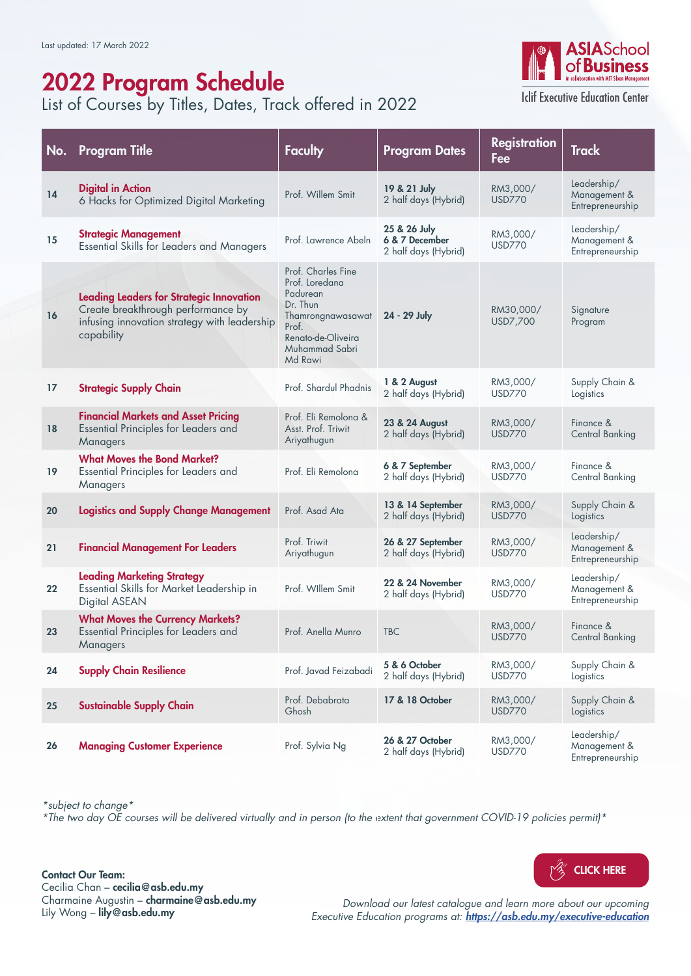# 2022 Program Schedule

List of Courses by Titles, Dates, Track offered in 2022



**Iclif Executive Education Center** 

| No. | <b>Program Title</b>                                                                                                                                | <b>Faculty</b>                                                                                                                                | <b>Program Dates</b>                                   | <b>Registration</b><br>Fee | <b>Track</b>                                    |
|-----|-----------------------------------------------------------------------------------------------------------------------------------------------------|-----------------------------------------------------------------------------------------------------------------------------------------------|--------------------------------------------------------|----------------------------|-------------------------------------------------|
| 14  | <b>Digital in Action</b><br>6 Hacks for Optimized Digital Marketing                                                                                 | Prof. Willem Smit                                                                                                                             | 19 & 21 July<br>2 half days (Hybrid)                   | RM3,000/<br><b>USD770</b>  | Leadership/<br>Management &<br>Entrepreneurship |
| 15  | <b>Strategic Management</b><br><b>Essential Skills for Leaders and Managers</b>                                                                     | Prof. Lawrence Abeln                                                                                                                          | 25 & 26 July<br>6 & 7 December<br>2 half days (Hybrid) | RM3,000/<br><b>USD770</b>  | Leadership/<br>Management &<br>Entrepreneurship |
| 16  | <b>Leading Leaders for Strategic Innovation</b><br>Create breakthrough performance by<br>infusing innovation strategy with leadership<br>capability | Prof. Charles Fine<br>Prof. Loredana<br>Padurean<br>Dr. Thun<br>Thamrongnawasawat<br>Prof.<br>Renato-de-Oliveira<br>Muhammad Sabri<br>Md Rawi | 24 - 29 July                                           | RM30,000/<br>USD7,700      | Signature<br>Program                            |
| 17  | <b>Strategic Supply Chain</b>                                                                                                                       | Prof. Shardul Phadnis                                                                                                                         | 1 & 2 August<br>2 half days (Hybrid)                   | RM3,000/<br><b>USD770</b>  | Supply Chain &<br>Logistics                     |
| 18  | <b>Financial Markets and Asset Pricing</b><br>Essential Principles for Leaders and<br>Managers                                                      | Prof. Eli Remolong &<br>Asst. Prof. Triwit<br>Ariyathugun                                                                                     | 23 & 24 August<br>2 half days (Hybrid)                 | RM3,000/<br><b>USD770</b>  | Finance &<br><b>Central Banking</b>             |
| 19  | <b>What Moves the Bond Market?</b><br>Essential Principles for Leaders and<br>Managers                                                              | Prof. Eli Remolona                                                                                                                            | 6 & 7 September<br>2 half days (Hybrid)                | RM3,000/<br><b>USD770</b>  | Finance &<br>Central Banking                    |
| 20  | <b>Logistics and Supply Change Management</b>                                                                                                       | Prof. Asad Ata                                                                                                                                | 13 & 14 September<br>2 half days (Hybrid)              | RM3,000/<br><b>USD770</b>  | Supply Chain &<br>Logistics                     |
| 21  | <b>Financial Management For Leaders</b>                                                                                                             | Prof. Triwit<br>Ariyathugun                                                                                                                   | 26 & 27 September<br>2 half days (Hybrid)              | RM3,000/<br><b>USD770</b>  | Leadership/<br>Management &<br>Entrepreneurship |
| 22  | <b>Leading Marketing Strategy</b><br>Essential Skills for Market Leadership in<br>Digital ASEAN                                                     | Prof. Willem Smit                                                                                                                             | 22 & 24 November<br>2 half days (Hybrid)               | RM3,000/<br><b>USD770</b>  | Leadership/<br>Management &<br>Entrepreneurship |
| 23  | <b>What Moves the Currency Markets?</b><br>Essential Principles for Leaders and<br>Managers                                                         | Prof. Anella Munro                                                                                                                            | <b>TBC</b>                                             | RM3,000/<br><b>USD770</b>  | Finance &<br><b>Central Banking</b>             |
| 24  | <b>Supply Chain Resilience</b>                                                                                                                      | Prof. Javad Feizabadi                                                                                                                         | 5 & 6 October<br>2 half days (Hybrid)                  | RM3,000/<br><b>USD770</b>  | Supply Chain &<br>Logistics                     |
| 25  | <b>Sustainable Supply Chain</b>                                                                                                                     | Prof. Debabrata<br>Ghosh                                                                                                                      | 17 & 18 October                                        | RM3,000/<br><b>USD770</b>  | Supply Chain &<br>Logistics                     |
| 26  | <b>Managing Customer Experience</b>                                                                                                                 | Prof. Sylvia Ng                                                                                                                               | 26 & 27 October<br>2 half days (Hybrid)                | RM3,000/<br><b>USD770</b>  | Leadership/<br>Management &<br>Entrepreneurship |

*\*subject to change\**

*\*The two day OE courses will be delivered virtually and in person (to the extent that government COVID-19 policies permit)\**

Contact Our Team: Cecilia Chan – cecilia@asb.edu.my Charmaine Augustin – charmaine@asb.edu.my Lily Wong - lily@asb.edu.my

YZ [CLICK HERE](https://asb.edu.my/executive-education)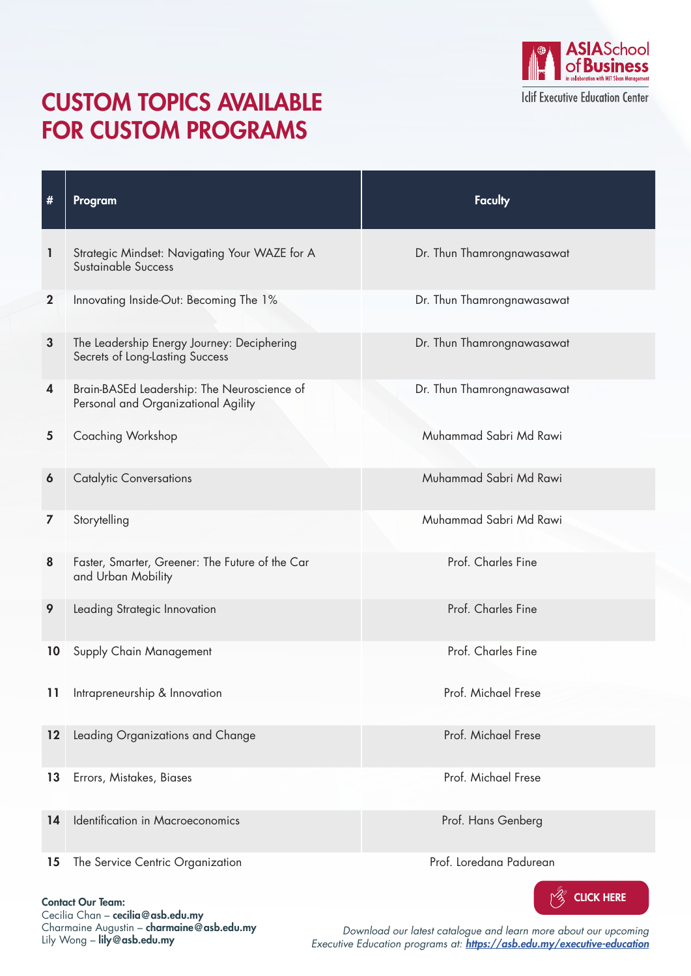

### CUSTOM TOPICS AVAILABLE FOR CUSTOM PROGRAMS

| #            | Program                                                                            | <b>Faculty</b>             |
|--------------|------------------------------------------------------------------------------------|----------------------------|
| 1            | Strategic Mindset: Navigating Your WAZE for A<br>Sustainable Success               | Dr. Thun Thamrongnawasawat |
| $\mathbf{2}$ | Innovating Inside-Out: Becoming The 1%                                             | Dr. Thun Thamrongnawasawat |
| $\mathbf{3}$ | The Leadership Energy Journey: Deciphering<br>Secrets of Long-Lasting Success      | Dr. Thun Thamrongnawasawat |
| 4            | Brain-BASEd Leadership: The Neuroscience of<br>Personal and Organizational Agility | Dr. Thun Thamrongnawasawat |
| 5            | Coaching Workshop                                                                  | Muhammad Sabri Md Rawi     |
| 6            | <b>Catalytic Conversations</b>                                                     | Muhammad Sabri Md Rawi     |
| 7            | Storytelling                                                                       | Muhammad Sabri Md Rawi     |
| 8            | Faster, Smarter, Greener: The Future of the Car<br>and Urban Mobility              | Prof. Charles Fine         |
| 9            | Leading Strategic Innovation                                                       | Prof. Charles Fine         |
| 10           | Supply Chain Management                                                            | Prof. Charles Fine         |
| 11           | Intrapreneurship & Innovation                                                      | Prof. Michael Frese        |
| 12           | Leading Organizations and Change                                                   | Prof. Michael Frese        |
| 13           | Errors, Mistakes, Biases                                                           | Prof. Michael Frese        |
| 14           | Identification in Macroeconomics                                                   | Prof. Hans Genberg         |
| 15           | The Service Centric Organization                                                   | Prof. Loredana Padurean    |



Contact Our Team:

Cecilia Chan – cecilia@asb.edu.my Charmaine Augustin – charmaine@asb.edu.my Lily Wong – lily@asb.edu.my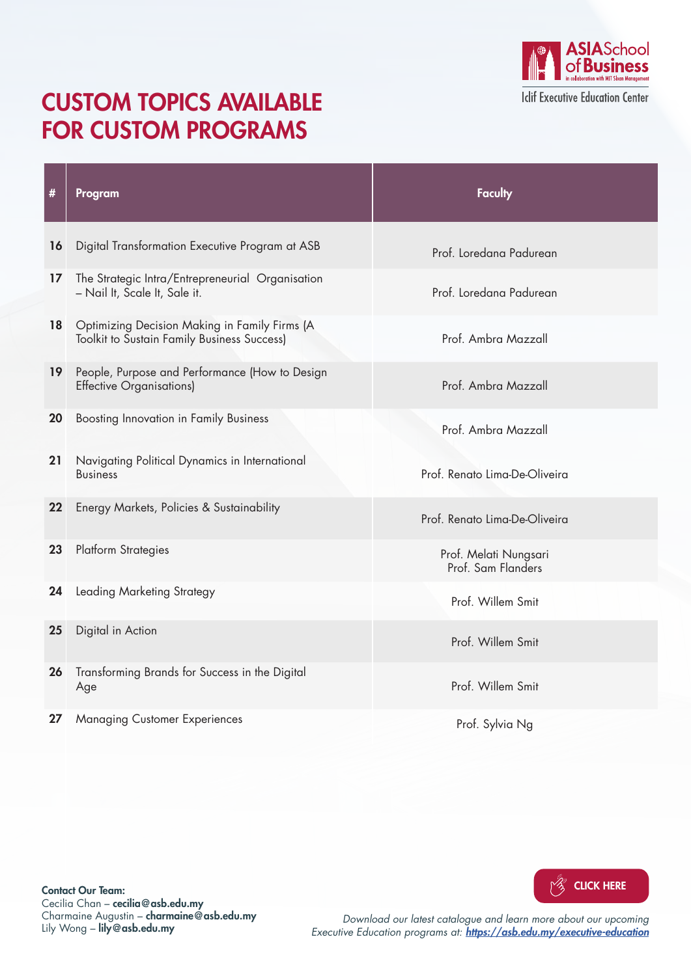#### CUSTOM TOPICS AVAILABLE FOR CUSTOM PROGRAMS



| #  | Program                                                                                             | <b>Faculty</b>                              |
|----|-----------------------------------------------------------------------------------------------------|---------------------------------------------|
|    |                                                                                                     |                                             |
| 16 | Digital Transformation Executive Program at ASB                                                     | Prof. Loredana Padurean                     |
| 17 | The Strategic Intra/Entrepreneurial Organisation<br>- Nail It, Scale It, Sale it.                   | Prof. Loredana Padurean                     |
| 18 | Optimizing Decision Making in Family Firms (A<br><b>Toolkit to Sustain Family Business Success)</b> | Prof. Ambra Mazzall                         |
| 19 | People, Purpose and Performance (How to Design<br><b>Effective Organisations)</b>                   | Prof. Ambra Mazzall                         |
| 20 | <b>Boosting Innovation in Family Business</b>                                                       | Prof. Ambra Mazzall                         |
| 21 | Navigating Political Dynamics in International<br><b>Business</b>                                   | Prof. Renato Lima-De-Oliveira               |
| 22 | Energy Markets, Policies & Sustainability                                                           | Prof. Renato Lima-De-Oliveira               |
| 23 | <b>Platform Strategies</b>                                                                          | Prof. Melati Nungsari<br>Prof. Sam Flanders |
| 24 | Leading Marketing Strategy                                                                          | Prof. Willem Smit                           |
| 25 | Digital in Action                                                                                   | Prof. Willem Smit                           |
|    | 26 Transforming Brands for Success in the Digital<br>Age                                            | Prof. Willem Smit                           |
| 27 | <b>Managing Customer Experiences</b>                                                                | Prof. Sylvia Ng                             |